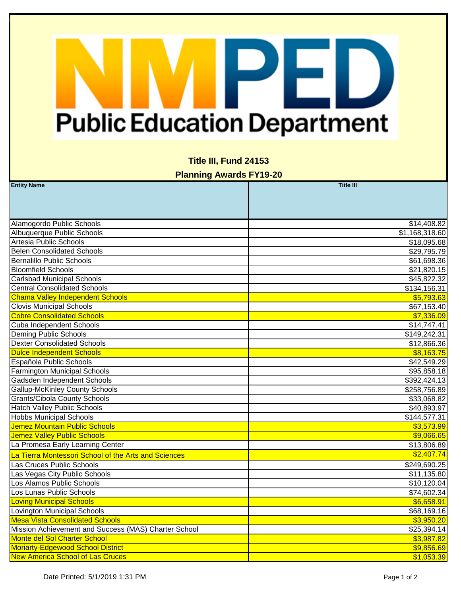## PED **Public Education Department**

|  | <b>Title III, Fund 24153</b> |  |
|--|------------------------------|--|
|--|------------------------------|--|

**Planning Awards FY19-20**

| <b>Entity Name</b>                                   | <b>Title III</b> |
|------------------------------------------------------|------------------|
|                                                      |                  |
|                                                      |                  |
|                                                      |                  |
| Alamogordo Public Schools                            | \$14,408.82      |
| Albuquerque Public Schools                           | \$1,168,318.60   |
| Artesia Public Schools                               | \$18,095.68      |
| <b>Belen Consolidated Schools</b>                    | \$29,795.79      |
| <b>Bernalillo Public Schools</b>                     | \$61,698.36      |
| <b>Bloomfield Schools</b>                            | \$21,820.15      |
| <b>Carlsbad Municipal Schools</b>                    | \$45,822.32      |
| <b>Central Consolidated Schools</b>                  | \$134,156.31     |
| <b>Chama Valley Independent Schools</b>              | \$5,793.63       |
| <b>Clovis Municipal Schools</b>                      | \$67,153.40      |
| <b>Cobre Consolidated Schools</b>                    | \$7,336.09       |
| Cuba Independent Schools                             | \$14,747.41      |
| <b>Deming Public Schools</b>                         | \$149,242.31     |
| <b>Dexter Consolidated Schools</b>                   | \$12,866.36      |
| <b>Dulce Independent Schools</b>                     | \$8,163.75       |
| Española Public Schools                              | \$42,549.29      |
| <b>Farmington Municipal Schools</b>                  | \$95,858.18      |
| Gadsden Independent Schools                          | \$392,424.13     |
| <b>Gallup-McKinley County Schools</b>                | \$258,756.89     |
| <b>Grants/Cibola County Schools</b>                  | \$33,068.82      |
| <b>Hatch Valley Public Schools</b>                   | \$40,893.97      |
| <b>Hobbs Municipal Schools</b>                       | \$144,577.31     |
| Jemez Mountain Public Schools                        | \$3,573.99       |
| Jemez Valley Public Schools                          | \$9,066.65       |
| La Promesa Early Learning Center                     | \$13,806.89      |
| La Tierra Montessori School of the Arts and Sciences | \$2,407.74       |
| Las Cruces Public Schools                            | \$249,690.25     |
| Las Vegas City Public Schools                        | \$11,135.80      |
| Los Alamos Public Schools                            | \$10,120.04      |
| Los Lunas Public Schools                             | \$74,602.34      |
| <b>Loving Municipal Schools</b>                      | \$6,658.91       |
| <b>Lovington Municipal Schools</b>                   | \$68,169.16      |
| <b>Mesa Vista Consolidated Schools</b>               | \$3,950.20       |
| Mission Achievement and Success (MAS) Charter School | \$25,394.14      |
| Monte del Sol Charter School                         | \$3,987.82       |
| Moriarty-Edgewood School District                    | \$9,856.69       |
| <b>New America School of Las Cruces</b>              | \$1,053.39       |